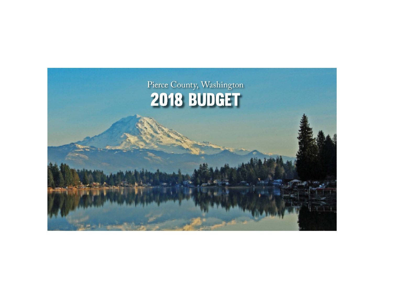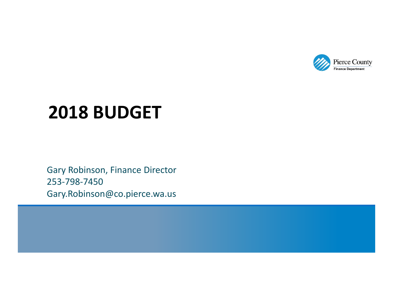

# **2018 BUDGET**

Gary Robinson, Finance Director 253‐798‐7450 Gary.Robinson@co.pierce.wa.us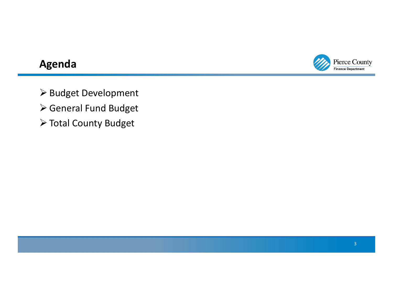

### **Agenda**

> Budget Development

- General Fund Budget
- Total County Budget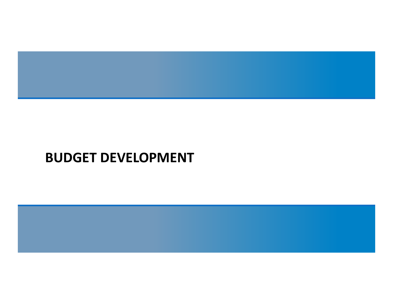

# **BUDGET DEVELOPMENT**

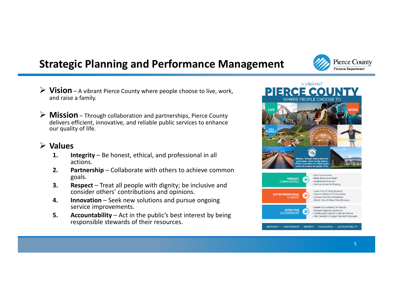## **Strategic Planning and Performance Management**

- **Vision** <sup>A</sup> vibrant Pierce County where people choose to live, work, and raise <sup>a</sup> family.
- **Mission** Through collaboration and partnerships, Pierce County delivers efficient, innovative, and reliable public services to enhance our quality of life.

#### **Values**

- **1. Integrity** Be honest, ethical, and professional in all actions.
- **2. Partnership** Collaborate with others to achieve common goals.
- **3. Respect** Treat all people with dignity; be inclusive and consider others' contributions and opinions.
- **4. Innovation** Seek new solutions and pursue ongoing service improvements.
- **5. Accountability** Act in the public's best interest by being responsible stewards of their resources.



**Pierce County Finance Department**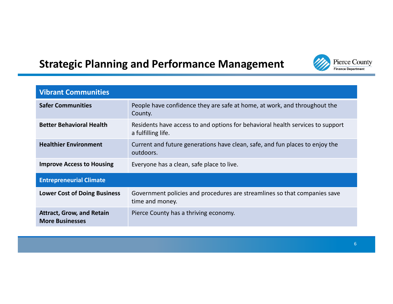#### Pierce County Finance Department

## **Strategic Planning and Performance Management**

| <b>Vibrant Communities</b>                                 |                                                                                                      |  |  |  |
|------------------------------------------------------------|------------------------------------------------------------------------------------------------------|--|--|--|
| <b>Safer Communities</b>                                   | People have confidence they are safe at home, at work, and throughout the<br>County.                 |  |  |  |
| <b>Better Behavioral Health</b>                            | Residents have access to and options for behavioral health services to support<br>a fulfilling life. |  |  |  |
| <b>Healthier Environment</b>                               | Current and future generations have clean, safe, and fun places to enjoy the<br>outdoors.            |  |  |  |
| <b>Improve Access to Housing</b>                           | Everyone has a clean, safe place to live.                                                            |  |  |  |
| <b>Entrepreneurial Climate</b>                             |                                                                                                      |  |  |  |
| <b>Lower Cost of Doing Business</b>                        | Government policies and procedures are streamlines so that companies save<br>time and money.         |  |  |  |
| <b>Attract, Grow, and Retain</b><br><b>More Businesses</b> | Pierce County has a thriving economy.                                                                |  |  |  |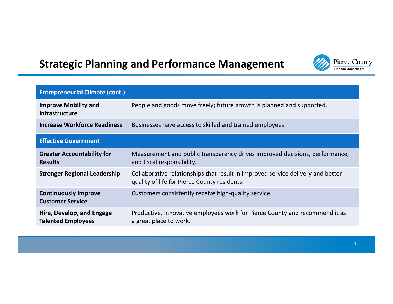## **Strategic Planning and Performance Management**



| <b>Entrepreneurial Climate (cont.)</b>                 |                                                                                                                                 |
|--------------------------------------------------------|---------------------------------------------------------------------------------------------------------------------------------|
| <b>Improve Mobility and</b><br>Infrastructure          | People and goods move freely; future growth is planned and supported.                                                           |
| <b>Increase Workforce Readiness</b>                    | Businesses have access to skilled and trained employees.                                                                        |
| <b>Effective Government</b>                            |                                                                                                                                 |
| <b>Greater Accountability for</b><br><b>Results</b>    | Measurement and public transparency drives improved decisions, performance,<br>and fiscal responsibility.                       |
| <b>Stronger Regional Leadership</b>                    | Collaborative relationships that result in improved service delivery and better<br>quality of life for Pierce County residents. |
| <b>Continuously Improve</b><br><b>Customer Service</b> | Customers consistently receive high-quality service.                                                                            |
| Hire, Develop, and Engage<br><b>Talented Employees</b> | Productive, innovative employees work for Pierce County and recommend it as<br>a great place to work.                           |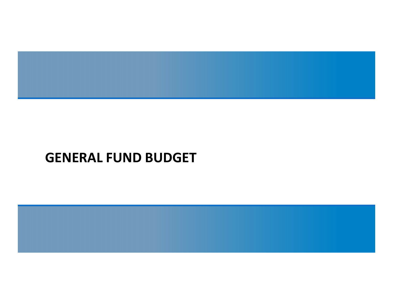

# **GENERAL FUND BUDGET**

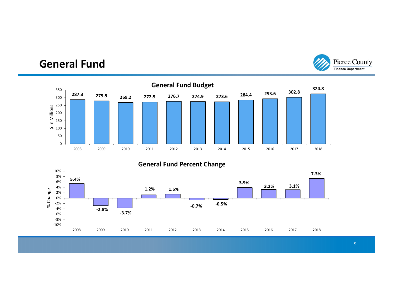#### Pierce County **Finance Department**

#### **General Fund**



#### **General Fund Percent Change**

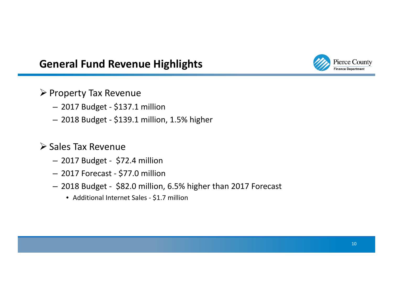### **General Fund Revenue Highlights**



#### $\triangleright$  Property Tax Revenue

- 2017 Budget ‐ \$137.1 million
- 2018 Budget ‐ \$139.1 million, 1.5% higher

#### **≻ Sales Tax Revenue**

- 2017 Budget ‐ \$72.4 million
- 2017 Forecast ‐ \$77.0 million
- 2018 Budget ‐ \$82.0 million, 6.5% higher than 2017 Forecast
	- Additional Internet Sales \$1.7 million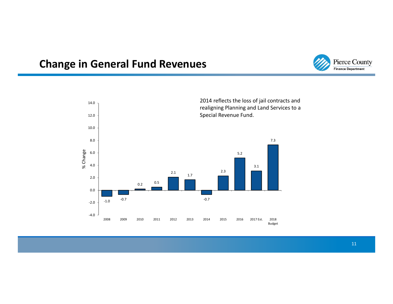### **Change in General Fund Revenues**



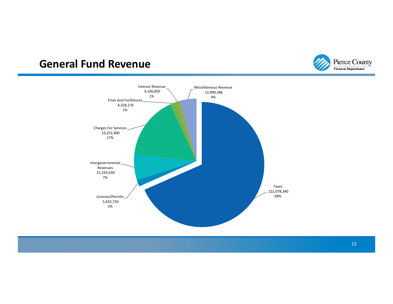#### **General Fund Revenue**



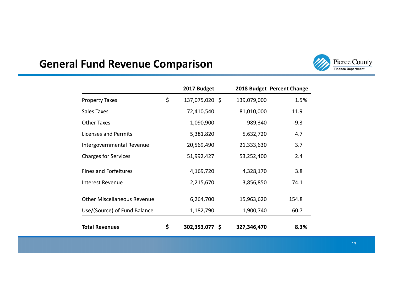#### **General Fund Revenue Comparison**



|                                    | 2017 Budget          |             | 2018 Budget Percent Change |
|------------------------------------|----------------------|-------------|----------------------------|
| <b>Property Taxes</b>              | \$<br>137,075,020 \$ | 139,079,000 | 1.5%                       |
| Sales Taxes                        | 72,410,540           | 81,010,000  | 11.9                       |
| <b>Other Taxes</b>                 | 1,090,900            | 989,340     | $-9.3$                     |
| Licenses and Permits               | 5,381,820            | 5,632,720   | 4.7                        |
| Intergovernmental Revenue          | 20,569,490           | 21,333,630  | 3.7                        |
| <b>Charges for Services</b>        | 51,992,427           | 53,252,400  | 2.4                        |
| <b>Fines and Forfeitures</b>       | 4,169,720            | 4,328,170   | 3.8                        |
| <b>Interest Revenue</b>            | 2,215,670            | 3,856,850   | 74.1                       |
| <b>Other Miscellaneous Revenue</b> | 6,264,700            | 15,963,620  | 154.8                      |
| Use/(Source) of Fund Balance       | 1,182,790            | 1,900,740   | 60.7                       |
| <b>Total Revenues</b>              | \$<br>302,353,077 \$ | 327,346,470 | 8.3%                       |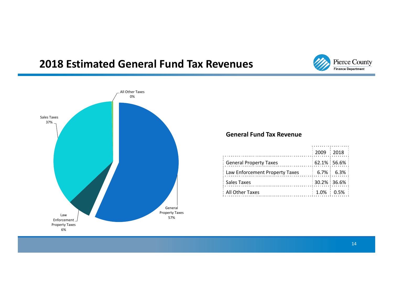#### **2018 Estimated General Fund Tax Revenues**





#### **General Fund Tax Revenue**

|                                  |  | : 2009 : 2018 :       |  |
|----------------------------------|--|-----------------------|--|
| : General Property Taxes         |  | $:62.1\%:56.6\%:$     |  |
| : Law Enforcement Property Taxes |  | $: 6.7\% : 6.3\% :$   |  |
| : Sales Taxes                    |  | $: 30.2\% : 36.6\% :$ |  |
| : All Other Taxes                |  | $: 1.0\% : 0.5\% :$   |  |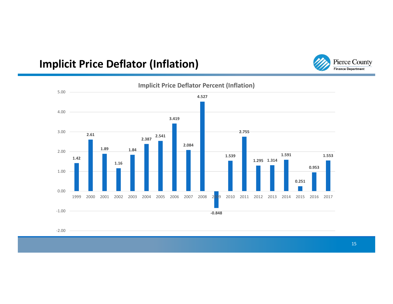### **Implicit Price Deflator (Inflation)**





**Implicit Price Deflator Percent (Inflation)**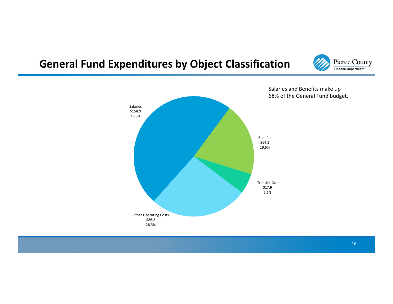#### **General Fund Expenditures by Object Classification**





Salaries and Benefits make up 68% of the General Fund budget.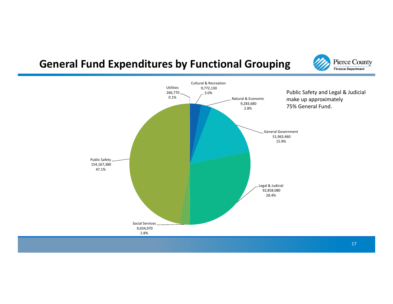### **General Fund Expenditures by Functional Grouping**



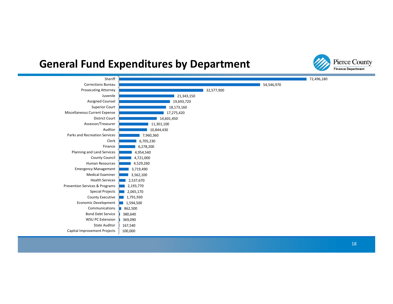#### **General Fund Expenditures by Department**



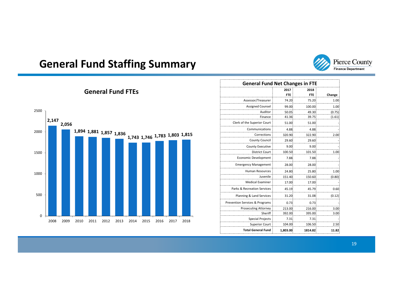

### **General Fund Staffing Summary**

| <b>General Fund Net Changes in FTE</b> |            |            |        |  |  |
|----------------------------------------|------------|------------|--------|--|--|
|                                        | 2017       | 2018       |        |  |  |
|                                        | <b>FTE</b> | <b>FTE</b> | Change |  |  |
| Assessor/Treasurer                     | 74.20      | 75.20      | 1.00   |  |  |
| Assigned Counsel                       | 99.00      | 100.00     | 1.00   |  |  |
| Auditor                                | 50.05      | 49.30      | (0.75) |  |  |
| Finance                                | 41.36      | 39.75      | (1.61) |  |  |
| Clerk of the Superior Court            | 51.00      | 51.00      |        |  |  |
| Communications                         | 4.88       | 4.88       |        |  |  |
| Corrections                            | 320.90     | 322.90     | 2.00   |  |  |
| <b>County Council</b>                  | 29.60      | 29.60      |        |  |  |
| <b>County Executive</b>                | 9.00       | 9.00       |        |  |  |
| <b>District Court</b>                  | 100.50     | 101.50     | 1.00   |  |  |
| Economic Development                   | 7.88       | 7.88       |        |  |  |
| <b>Emergency Management</b>            | 28.00      | 28.00      |        |  |  |
| Human Resources                        | 24.80      | 25.80      | 1.00   |  |  |
| Juvenile                               | 151.40     | 150.60     | (0.80) |  |  |
| <b>Medical Examiner</b>                | 17.00      | 17.00      |        |  |  |
| Parks & Recreation Services            | 45.19      | 45.79      | 0.60   |  |  |
| Planning & Land Services               | 31.20      | 31.08      | (0.12) |  |  |
| Prevention Services & Programs         | 0.73       | 0.73       |        |  |  |
| <b>Prosecuting Attorney</b>            | 213.00     | 216.00     | 3.00   |  |  |
| Sheriff                                | 392.00     | 395.00     | 3.00   |  |  |
| <b>Special Projects</b>                | 7.31       | 7.31       |        |  |  |
| <b>Superior Court</b>                  | 104.00     | 106.50     | 2.50   |  |  |
| <b>Total General Fund</b>              | 1,803.00   | 1814.82    | 11.82  |  |  |

#### **General Fund FTEs**

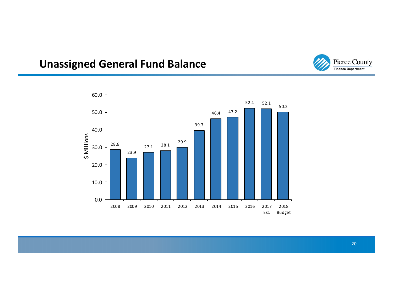

## **Unassigned General Fund Balance**

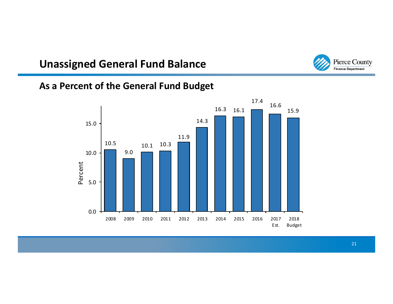#### **Unassigned General Fund Balance**



#### **As a Percent of the General Fund Budget**

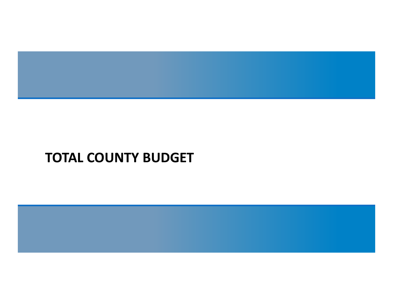

# **TOTAL COUNTY BUDGET**

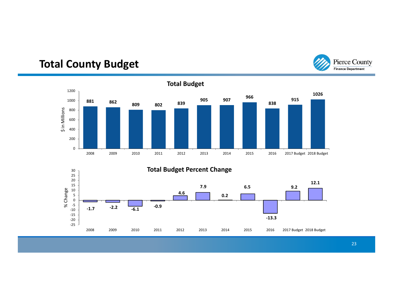

#### **Total County Budget**

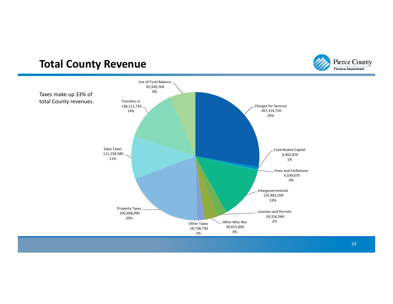#### **Total County Revenue**



Pierce County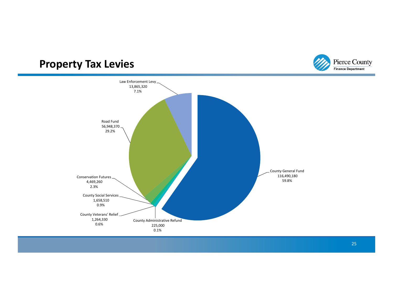### **Property Tax Levies**



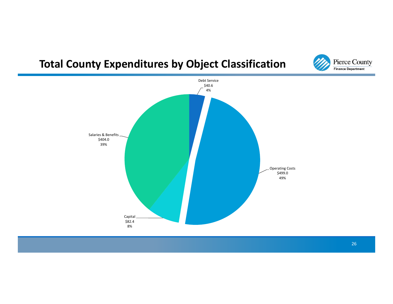### **Total County Expenditures by Object Classification**



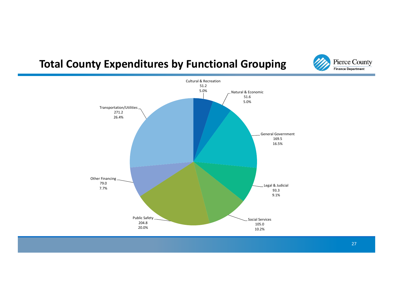#### **Total County Expenditures by Functional Grouping**



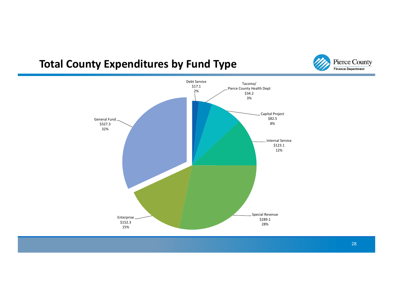#### **Total County Expenditures by Fund Type**